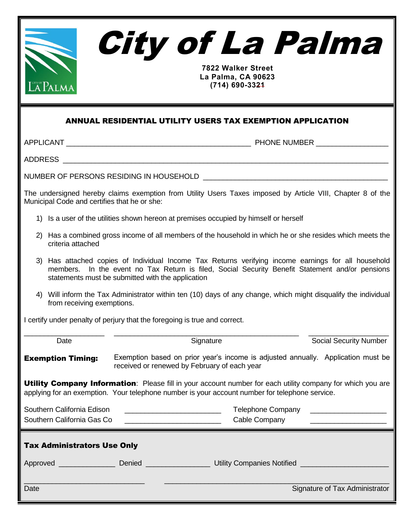



**7822 Walker Street La Palma, CA 90623 (714) 690-3321**

## ANNUAL RESIDENTIAL UTILITY USERS TAX EXEMPTION APPLICATION

APPLICANT \_\_\_\_\_\_\_\_\_\_\_\_\_\_\_\_\_\_\_\_\_\_\_\_\_\_\_\_\_\_\_\_\_\_\_\_\_\_\_\_\_\_\_\_\_\_ PHONE NUMBER \_\_\_\_\_\_\_\_\_\_\_\_\_\_\_\_\_\_

ADDRESS \_\_\_\_\_\_\_\_\_\_\_\_\_\_\_\_\_\_\_\_\_\_\_\_\_\_\_\_\_\_\_\_\_\_\_\_\_\_\_\_\_\_\_\_\_\_\_\_\_\_\_\_\_\_\_\_\_\_\_\_\_\_\_\_\_\_\_\_\_\_\_\_\_\_\_\_\_\_\_\_\_

NUMBER OF PERSONS RESIDING IN HOUSEHOLD \_\_\_\_\_\_\_\_\_\_\_\_\_\_\_\_\_\_\_\_\_\_\_\_\_\_\_\_\_\_\_\_\_\_\_\_\_\_\_\_\_\_\_\_\_\_

The undersigned hereby claims exemption from Utility Users Taxes imposed by Article VIII, Chapter 8 of the Municipal Code and certifies that he or she:

- 1) Is a user of the utilities shown hereon at premises occupied by himself or herself
- 2) Has a combined gross income of all members of the household in which he or she resides which meets the criteria attached
- 3) Has attached copies of Individual Income Tax Returns verifying income earnings for all household members. In the event no Tax Return is filed, Social Security Benefit Statement and/or pensions statements must be submitted with the application
- 4) Will inform the Tax Administrator within ten (10) days of any change, which might disqualify the individual from receiving exemptions.

I certify under penalty of perjury that the foregoing is true and correct.

| Date                                                                                                                                                                                                                 | Signature                                                                                                                        |                                        | <b>Social Security Number</b>  |  |
|----------------------------------------------------------------------------------------------------------------------------------------------------------------------------------------------------------------------|----------------------------------------------------------------------------------------------------------------------------------|----------------------------------------|--------------------------------|--|
| <b>Exemption Timing:</b>                                                                                                                                                                                             | Exemption based on prior year's income is adjusted annually. Application must be<br>received or renewed by February of each year |                                        |                                |  |
| <b>Utility Company Information</b> : Please fill in your account number for each utility company for which you are<br>applying for an exemption. Your telephone number is your account number for telephone service. |                                                                                                                                  |                                        |                                |  |
| Southern California Edison<br>Southern California Gas Co                                                                                                                                                             | <u> 1989 - Johann Barbara, martxa al III-lea (h. 1989).</u>                                                                      | Cable Company                          |                                |  |
| <b>Tax Administrators Use Only</b>                                                                                                                                                                                   |                                                                                                                                  |                                        |                                |  |
|                                                                                                                                                                                                                      |                                                                                                                                  | Utility Companies Notified ___________ |                                |  |
| Date                                                                                                                                                                                                                 |                                                                                                                                  |                                        | Signature of Tax Administrator |  |